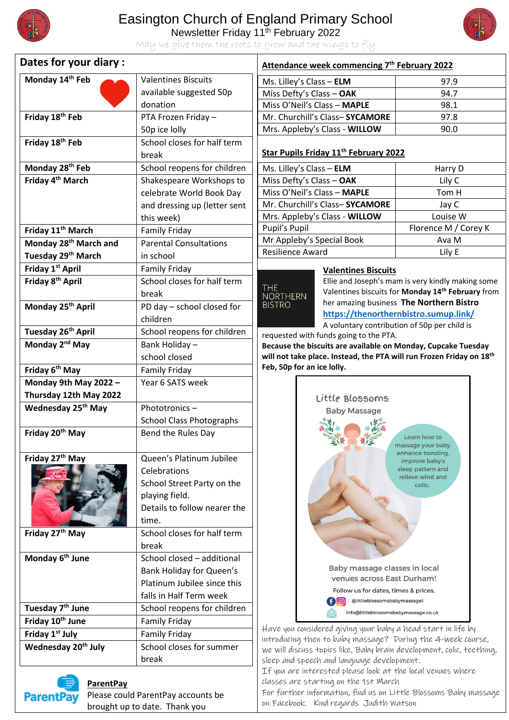

## Easington Church of England Primary School

Newsletter Friday 11<sup>th</sup> February 2022



May we give them the roots to grow and the wings to fly

| Dates for your diary :            |                                 | Attendance week commencing 7 <sup>th</sup> February 2022                                                                             |                                                               |
|-----------------------------------|---------------------------------|--------------------------------------------------------------------------------------------------------------------------------------|---------------------------------------------------------------|
| Monday 14th Feb                   | <b>Valentines Biscuits</b>      | Ms. Lilley's Class - ELM                                                                                                             | 97.9                                                          |
|                                   | available suggested 50p         | Miss Defty's Class - OAK                                                                                                             | 94.7                                                          |
|                                   | donation                        | Miss O'Neil's Class - MAPLE                                                                                                          | 98.1                                                          |
| Friday 18 <sup>th</sup> Feb       | PTA Frozen Friday -             | Mr. Churchill's Class-SYCAMORE                                                                                                       | 97.8                                                          |
|                                   | 50p ice lolly                   | Mrs. Appleby's Class - WILLOW                                                                                                        | 90.0                                                          |
| Friday 18th Feb                   | School closes for half term     |                                                                                                                                      |                                                               |
|                                   | break                           | Star Pupils Friday 11 <sup>th</sup> February 2022                                                                                    |                                                               |
| Monday 28 <sup>th</sup> Feb       | School reopens for children     | Ms. Lilley's Class - ELM                                                                                                             | Harry D                                                       |
| Friday 4 <sup>th</sup> March      | Shakespeare Workshops to        | Miss Defty's Class - OAK                                                                                                             | Lily C                                                        |
|                                   | celebrate World Book Day        | Miss O'Neil's Class - MAPLE                                                                                                          | Tom H                                                         |
|                                   | and dressing up (letter sent    | Mr. Churchill's Class-SYCAMORE                                                                                                       | Jay C                                                         |
|                                   | this week)                      | Mrs. Appleby's Class - WILLOW                                                                                                        | Louise W                                                      |
| Friday 11 <sup>th</sup> March     | <b>Family Friday</b>            | Pupil's Pupil                                                                                                                        | Florence M / Corey K                                          |
| Monday 28 <sup>th</sup> March and | <b>Parental Consultations</b>   | Mr Appleby's Special Book                                                                                                            | Ava M                                                         |
| Tuesday 29 <sup>th</sup> March    | in school                       | <b>Resilience Award</b>                                                                                                              | Lily E                                                        |
| Friday 1st April                  | <b>Family Friday</b>            | <b>Valentines Biscuits</b>                                                                                                           |                                                               |
| Friday 8 <sup>th</sup> April      | School closes for half term     | Ellie and Joseph's mam is very kindly making some<br><b>THE</b>                                                                      |                                                               |
|                                   | break                           | <b>NORTHERN</b>                                                                                                                      | Valentines biscuits for Monday 14 <sup>th</sup> February from |
| Monday 25th April                 | PD day - school closed for      | <b>BISTRO</b>                                                                                                                        | her amazing business The Northern Bistro                      |
|                                   | children                        | https://thenorthernbistro.sumup.link/<br>A voluntary contribution of 50p per child is                                                |                                                               |
| Tuesday 26 <sup>th</sup> April    | School reopens for children     | requested with funds going to the PTA.                                                                                               |                                                               |
| Monday 2 <sup>nd</sup> May        | Bank Holiday -                  | Because the biscuits are available on Monday, Cupcake Tuesday                                                                        |                                                               |
|                                   | school closed                   | will not take place. Instead, the PTA will run Frozen Friday on 18 <sup>th</sup>                                                     |                                                               |
| Friday 6 <sup>th</sup> May        | <b>Family Friday</b>            | Feb, 50p for an ice lolly.                                                                                                           |                                                               |
| Monday 9th May 2022 -             | Year 6 SATS week                |                                                                                                                                      |                                                               |
| Thursday 12th May 2022            |                                 | Little Blossoms                                                                                                                      |                                                               |
| Wednesday 25 <sup>th</sup> May    | Phototronics-                   | <b>Baby Massage</b>                                                                                                                  |                                                               |
|                                   | <b>School Class Photographs</b> |                                                                                                                                      |                                                               |
| Friday 20 <sup>th</sup> May       | Bend the Rules Day              |                                                                                                                                      | Learn how to<br>massage your baby,                            |
| Friday 27th May                   | Queen's Platinum Jubilee        | enhance bonding.<br>improve baby's                                                                                                   |                                                               |
|                                   | Celebrations                    |                                                                                                                                      | sleep pattern and                                             |
|                                   | School Street Party on the      |                                                                                                                                      | relieve wind and<br>colic.                                    |
|                                   | playing field.                  |                                                                                                                                      |                                                               |
|                                   | Details to follow nearer the    |                                                                                                                                      |                                                               |
|                                   | time.                           |                                                                                                                                      |                                                               |
| Friday 27 <sup>th</sup> May       | School closes for half term     |                                                                                                                                      |                                                               |
|                                   | break                           |                                                                                                                                      |                                                               |
| Monday 6 <sup>th</sup> June       | School closed - additional      |                                                                                                                                      |                                                               |
|                                   | Bank Holiday for Queen's        | Baby massage classes in local                                                                                                        |                                                               |
|                                   | Platinum Jubilee since this     | venues across East Durham!                                                                                                           |                                                               |
|                                   | falls in Half Term week         | Follow us for dates, times & prices.<br>@littleblossomsbabymassage1<br>f[6]                                                          |                                                               |
| Tuesday 7 <sup>th</sup> June      | School reopens for children     | info@littleblossomsbabymassage.co.uk                                                                                                 |                                                               |
| Friday 10 <sup>th</sup> June      | <b>Family Friday</b>            |                                                                                                                                      |                                                               |
| Friday 1 <sup>st</sup> July       | <b>Family Friday</b>            | Have you considered giving your baby a head start in life by                                                                         |                                                               |
| Wednesday 20 <sup>th</sup> July   | School closes for summer        | introducing then to baby massage? During the 4-week course,<br>we will discuss topics like, Baby brain development, colic, teething, |                                                               |
|                                   | break                           | sleep and speech and language development.                                                                                           |                                                               |
|                                   |                                 | If you are interested please look at the local venues where                                                                          |                                                               |
| <b>ParentPay</b>                  |                                 | classes are starting on the 1st March                                                                                                |                                                               |



**ParentPay** Please could ParentPay accounts be brought up to date. Thank you